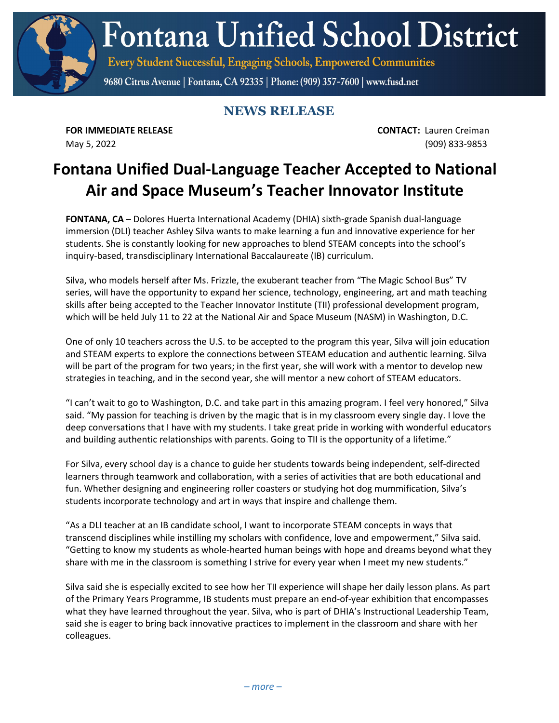**Fontana Unified School District** 

Every Student Successful, Engaging Schools, Empowered Communities

9680 Citrus Avenue | Fontana, CA 92335 | Phone: (909) 357-7600 | www.fusd.net

## **NEWS RELEASE**

**FOR IMMEDIATE RELEASE CONTACT:** Lauren Creiman May 5, 2022 (909) 833-9853

## **Fontana Unified Dual-Language Teacher Accepted to National Air and Space Museum's Teacher Innovator Institute**

**FONTANA, CA** – Dolores Huerta International Academy (DHIA) sixth-grade Spanish dual-language immersion (DLI) teacher Ashley Silva wants to make learning a fun and innovative experience for her students. She is constantly looking for new approaches to blend STEAM concepts into the school's inquiry-based, transdisciplinary International Baccalaureate (IB) curriculum.

Silva, who models herself after Ms. Frizzle, the exuberant teacher from "The Magic School Bus" TV series, will have the opportunity to expand her science, technology, engineering, art and math teaching skills after being accepted to the Teacher Innovator Institute (TII) professional development program, which will be held July 11 to 22 at the National Air and Space Museum (NASM) in Washington, D.C.

One of only 10 teachers across the U.S. to be accepted to the program this year, Silva will join education and STEAM experts to explore the connections between STEAM education and authentic learning. Silva will be part of the program for two years; in the first year, she will work with a mentor to develop new strategies in teaching, and in the second year, she will mentor a new cohort of STEAM educators.

"I can't wait to go to Washington, D.C. and take part in this amazing program. I feel very honored," Silva said. "My passion for teaching is driven by the magic that is in my classroom every single day. I love the deep conversations that I have with my students. I take great pride in working with wonderful educators and building authentic relationships with parents. Going to TII is the opportunity of a lifetime."

For Silva, every school day is a chance to guide her students towards being independent, self-directed learners through teamwork and collaboration, with a series of activities that are both educational and fun. Whether designing and engineering roller coasters or studying hot dog mummification, Silva's students incorporate technology and art in ways that inspire and challenge them.

"As a DLI teacher at an IB candidate school, I want to incorporate STEAM concepts in ways that transcend disciplines while instilling my scholars with confidence, love and empowerment," Silva said. "Getting to know my students as whole-hearted human beings with hope and dreams beyond what they share with me in the classroom is something I strive for every year when I meet my new students."

Silva said she is especially excited to see how her TII experience will shape her daily lesson plans. As part of the Primary Years Programme, IB students must prepare an end-of-year exhibition that encompasses what they have learned throughout the year. Silva, who is part of DHIA's Instructional Leadership Team, said she is eager to bring back innovative practices to implement in the classroom and share with her colleagues.